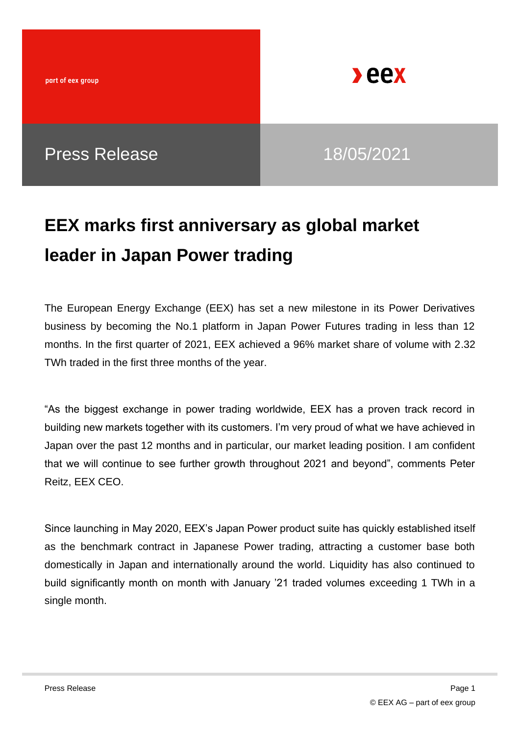

**Deex** 

## **EEX marks first anniversary as global market leader in Japan Power trading**

The European Energy Exchange (EEX) has set a new milestone in its Power Derivatives business by becoming the No.1 platform in Japan Power Futures trading in less than 12 months. In the first quarter of 2021, EEX achieved a 96% market share of volume with 2.32 TWh traded in the first three months of the year.

"As the biggest exchange in power trading worldwide, EEX has a proven track record in building new markets together with its customers. I'm very proud of what we have achieved in Japan over the past 12 months and in particular, our market leading position. I am confident that we will continue to see further growth throughout 2021 and beyond", comments Peter Reitz, EEX CEO.

Since launching in May 2020, EEX's Japan Power product suite has quickly established itself as the benchmark contract in Japanese Power trading, attracting a customer base both domestically in Japan and internationally around the world. Liquidity has also continued to build significantly month on month with January '21 traded volumes exceeding 1 TWh in a single month.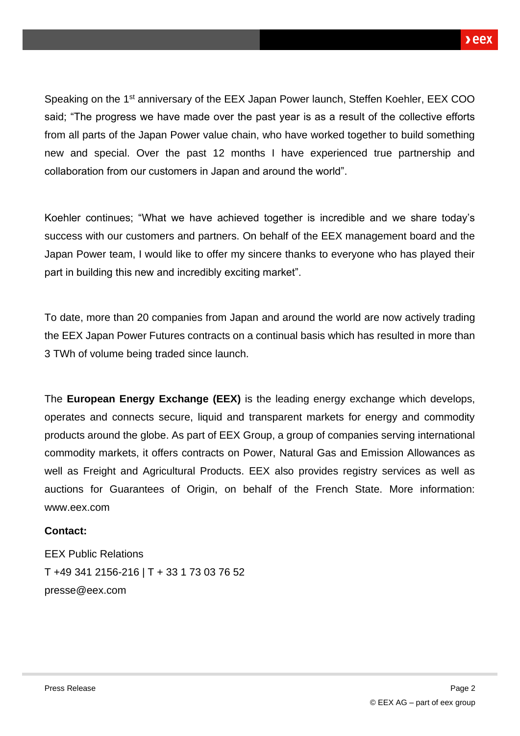Speaking on the 1st anniversary of the EEX Japan Power launch, Steffen Koehler, EEX COO said; "The progress we have made over the past year is as a result of the collective efforts from all parts of the Japan Power value chain, who have worked together to build something new and special. Over the past 12 months I have experienced true partnership and collaboration from our customers in Japan and around the world".

Koehler continues; "What we have achieved together is incredible and we share today's success with our customers and partners. On behalf of the EEX management board and the Japan Power team, I would like to offer my sincere thanks to everyone who has played their part in building this new and incredibly exciting market".

To date, more than 20 companies from Japan and around the world are now actively trading the EEX Japan Power Futures contracts on a continual basis which has resulted in more than 3 TWh of volume being traded since launch.

The **European Energy Exchange (EEX)** is the leading energy exchange which develops, operates and connects secure, liquid and transparent markets for energy and commodity products around the globe. As part of EEX Group, a group of companies serving international commodity markets, it offers contracts on Power, Natural Gas and Emission Allowances as well as Freight and Agricultural Products. EEX also provides registry services as well as auctions for Guarantees of Origin, on behalf of the French State. More information: www.eex.com

### **Contact:**

EEX Public Relations T +49 341 2156-216 | T + 33 1 73 03 76 52 [presse@eex.com](mailto:presse@eex.com)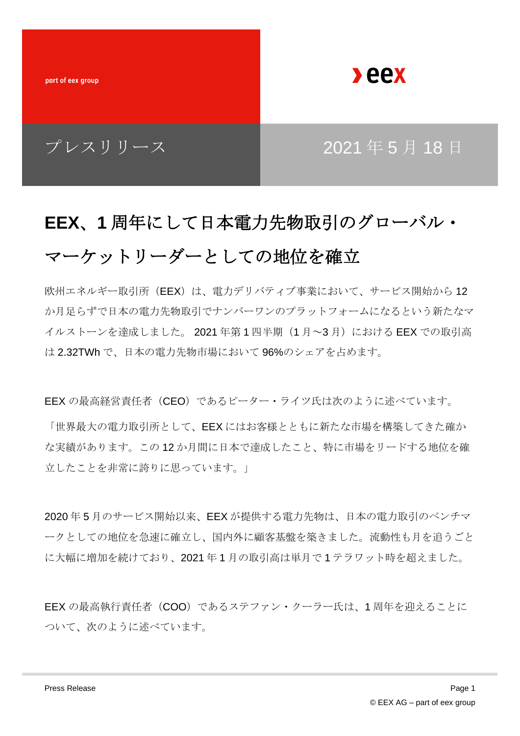part of eex group

**Deex** 

### プレスリリース | 2021年5月18日

# **EEX**、**1** 周年にして日本電力先物取引のグローバル・ マーケットリーダーとしての地位を確立

欧州エネルギー取引所 (EEX) は、電力デリバティブ事業において、サービス開始から 12 か月足らずで日本の電力先物取引でナンバーワンのプラットフォームになるという新たなマ イルストーンを達成しました。 2021 年第1四半期 (1月~3月)における EEX での取引高 は 2.32TWh で、日本の電力先物市場において 96%のシェアを占めます。

EEX の最高経営責任者 (CEO) であるピーター・ライツ氏は次のように述べています。

「世界最大の電力取引所として、EEX にはお客様とともに新たな市場を構築してきた確か な実績があります。この 12 か月間に日本で達成したこと、特に市場をリードする地位を確 立したことを非常に誇りに思っています。」

2020 年 5 月のサービス開始以来、EEX が提供する電力先物は、日本の電力取引のベンチマ ークとしての地位を急速に確立し、国内外に顧客基盤を築きました。流動性も月を追うごと に大幅に増加を続けており、2021 年 1 月の取引高は単月で 1 テラワット時を超えました。

EEX の最高執行責任者 (COO) であるステファン・クーラー氏は、1周年を迎えることに ついて、次のように述べています。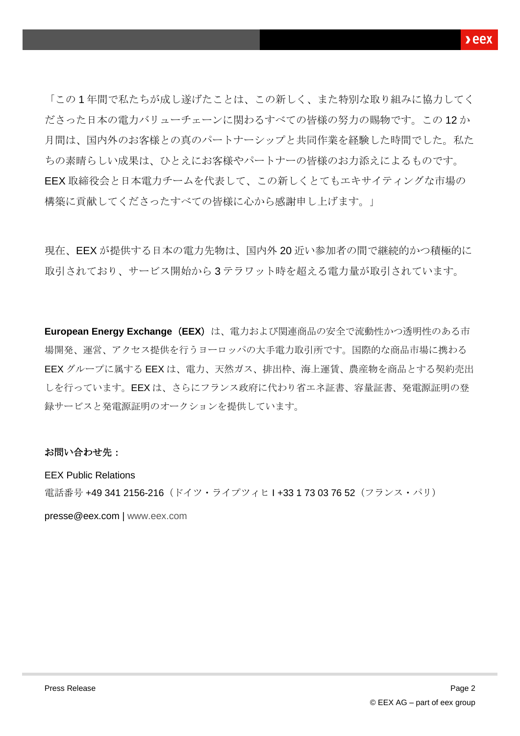「この 1 年間で私たちが成し遂げたことは、この新しく、また特別な取り組みに協力してく ださった日本の電力バリューチェーンに関わるすべての皆様の努力の賜物です。この 12 か 月間は、国内外のお客様との真のパートナーシップと共同作業を経験した時間でした。私た ちの素晴らしい成果は、ひとえにお客様やパートナーの皆様のお力添えによるものです。 EEX 取締役会と日本電力チームを代表して、この新しくとてもエキサイティングな市場の 構築に貢献してくださったすべての皆様に心から感謝申し上げます。」

現在、EEX が提供する日本の電力先物は、国内外 20 近い参加者の間で継続的かつ積極的に 取引されており、サービス開始から 3 テラワット時を超える電力量が取引されています。

**European Energy Exchange**(**EEX**)は、電力および関連商品の安全で流動性かつ透明性のある市 場開発、運営、アクセス提供を行うヨーロッパの大手電力取引所です。国際的な商品市場に携わる EEX グループに属する EEX は、電力、天然ガス、排出枠、海上運賃、農産物を商品とする契約売出 しを行っています。EEX は、さらにフランス政府に代わり省エネ証書、容量証書、発電源証明の登 録サービスと発電源証明のオークションを提供しています。

#### お問い合わせ先:

EEX Public Relations 電話番号 +49 341 2156-216(ドイツ・ライプツィヒ I +33 1 73 03 76 52(フランス・パリ)

[presse@eex.com](mailto:presse@eex.com) | [www.eex.com](http://www.eex.com/)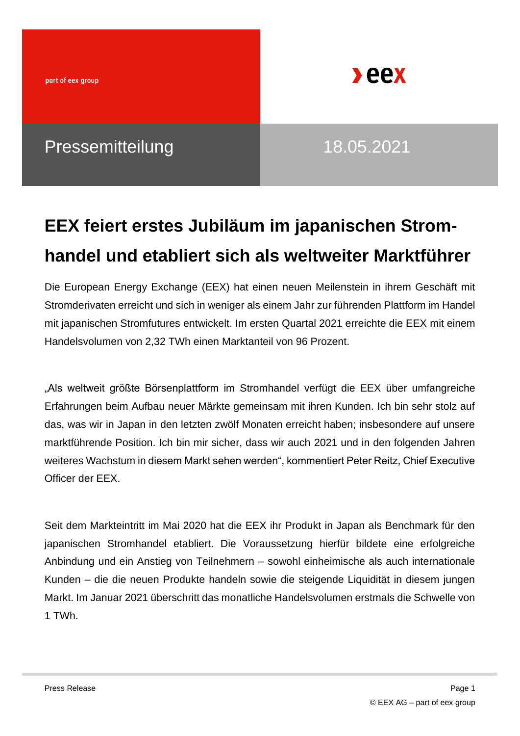

## **EEX feiert erstes Jubiläum im japanischen Stromhandel und etabliert sich als weltweiter Marktführer**

Die European Energy Exchange (EEX) hat einen neuen Meilenstein in ihrem Geschäft mit Stromderivaten erreicht und sich in weniger als einem Jahr zur führenden Plattform im Handel mit japanischen Stromfutures entwickelt. Im ersten Quartal 2021 erreichte die EEX mit einem Handelsvolumen von 2,32 TWh einen Marktanteil von 96 Prozent.

"Als weltweit größte Börsenplattform im Stromhandel verfügt die EEX über umfangreiche Erfahrungen beim Aufbau neuer Märkte gemeinsam mit ihren Kunden. Ich bin sehr stolz auf das, was wir in Japan in den letzten zwölf Monaten erreicht haben; insbesondere auf unsere marktführende Position. Ich bin mir sicher, dass wir auch 2021 und in den folgenden Jahren weiteres Wachstum in diesem Markt sehen werden", kommentiert Peter Reitz, Chief Executive Officer der EEX.

Seit dem Markteintritt im Mai 2020 hat die EEX ihr Produkt in Japan als Benchmark für den japanischen Stromhandel etabliert. Die Voraussetzung hierfür bildete eine erfolgreiche Anbindung und ein Anstieg von Teilnehmern – sowohl einheimische als auch internationale Kunden – die die neuen Produkte handeln sowie die steigende Liquidität in diesem jungen Markt. Im Januar 2021 überschritt das monatliche Handelsvolumen erstmals die Schwelle von 1 TWh.